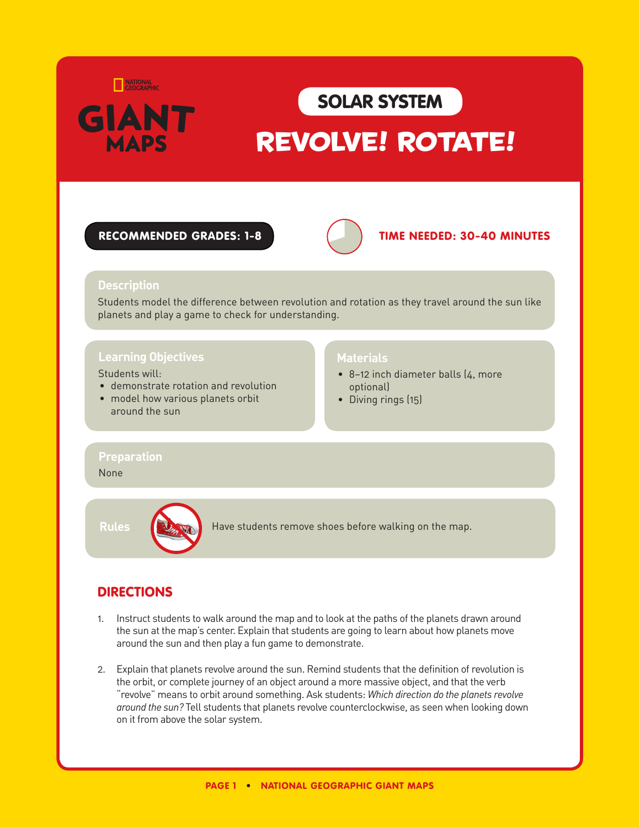

## SOLAR SYSTEM

# REVOLVE! ROTATE!

#### RECOMMENDED GRADES: 1-8 **TIME NEEDED: 30-40 MINUTES**



#### **Description**

Students model the difference between revolution and rotation as they travel around the sun like planets and play a game to check for understanding.

#### **Learning Objectives**

#### Students will:

- demonstrate rotation and revolution
- model how various planets orbit around the sun

#### **Materials**

- 8-12 inch diameter balls (4, more optional)
- Diving rings (15)

#### **Preparation**

#### None



**Rules Have students remove shoes before walking on the map.** 

### DIRECTIONS

- 1. Instruct students to walk around the map and to look at the paths of the planets drawn around the sun at the map's center. Explain that students are going to learn about how planets move around the sun and then play a fun game to demonstrate.
- 2. Explain that planets revolve around the sun. Remind students that the definition of revolution is the orbit, or complete journey of an object around a more massive object, and that the verb "revolve" means to orbit around something. Ask students: *Which direction do the planets revolve around the sun?* Tell students that planets revolve counterclockwise, as seen when looking down on it from above the solar system.